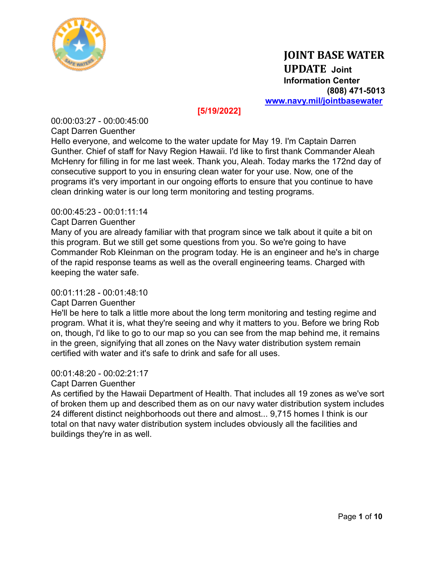

## **[5/19/2022]**

00:00:03:27 - 00:00:45:00 Capt Darren Guenther

Hello everyone, and welcome to the water update for May 19. I'm Captain Darren Gunther. Chief of staff for Navy Region Hawaii. I'd like to first thank Commander Aleah McHenry for filling in for me last week. Thank you, Aleah. Today marks the 172nd day of consecutive support to you in ensuring clean water for your use. Now, one of the programs it's very important in our ongoing efforts to ensure that you continue to have clean drinking water is our long term monitoring and testing programs.

### 00:00:45:23 - 00:01:11:14

#### Capt Darren Guenther

Many of you are already familiar with that program since we talk about it quite a bit on this program. But we still get some questions from you. So we're going to have Commander Rob Kleinman on the program today. He is an engineer and he's in charge of the rapid response teams as well as the overall engineering teams. Charged with keeping the water safe.

#### 00:01:11:28 - 00:01:48:10

## Capt Darren Guenther

He'll be here to talk a little more about the long term monitoring and testing regime and program. What it is, what they're seeing and why it matters to you. Before we bring Rob on, though, I'd like to go to our map so you can see from the map behind me, it remains in the green, signifying that all zones on the Navy water distribution system remain certified with water and it's safe to drink and safe for all uses.

#### 00:01:48:20 - 00:02:21:17

Capt Darren Guenther

As certified by the Hawaii Department of Health. That includes all 19 zones as we've sort of broken them up and described them as on our navy water distribution system includes 24 different distinct neighborhoods out there and almost... 9,715 homes I think is our total on that navy water distribution system includes obviously all the facilities and buildings they're in as well.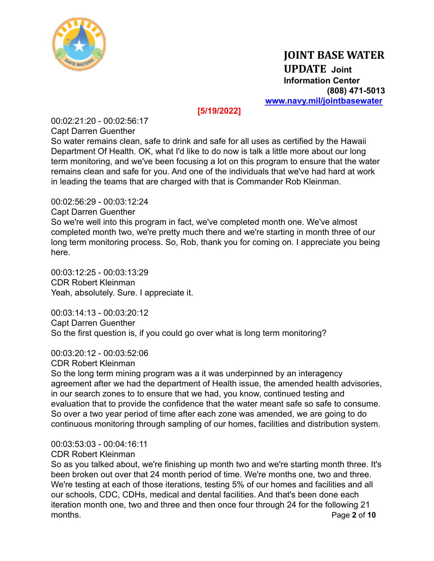

## **[5/19/2022]**

00:02:21:20 - 00:02:56:17 Capt Darren Guenther

So water remains clean, safe to drink and safe for all uses as certified by the Hawaii Department Of Health. OK, what I'd like to do now is talk a little more about our long term monitoring, and we've been focusing a lot on this program to ensure that the water remains clean and safe for you. And one of the individuals that we've had hard at work in leading the teams that are charged with that is Commander Rob Kleinman.

## 00:02:56:29 - 00:03:12:24

Capt Darren Guenther

So we're well into this program in fact, we've completed month one. We've almost completed month two, we're pretty much there and we're starting in month three of our long term monitoring process. So, Rob, thank you for coming on. I appreciate you being here.

00:03:12:25 - 00:03:13:29 CDR Robert Kleinman Yeah, absolutely. Sure. I appreciate it.

00:03:14:13 - 00:03:20:12 Capt Darren Guenther So the first question is, if you could go over what is long term monitoring?

00:03:20:12 - 00:03:52:06

CDR Robert Kleinman

So the long term mining program was a it was underpinned by an interagency agreement after we had the department of Health issue, the amended health advisories, in our search zones to to ensure that we had, you know, continued testing and evaluation that to provide the confidence that the water meant safe so safe to consume. So over a two year period of time after each zone was amended, we are going to do continuous monitoring through sampling of our homes, facilities and distribution system.

## 00:03:53:03 - 00:04:16:11

## CDR Robert Kleinman

So as you talked about, we're finishing up month two and we're starting month three. It's been broken out over that 24 month period of time. We're months one, two and three. We're testing at each of those iterations, testing 5% of our homes and facilities and all our schools, CDC, CDHs, medical and dental facilities. And that's been done each iteration month one, two and three and then once four through 24 for the following 21 months. Page **2** of **10**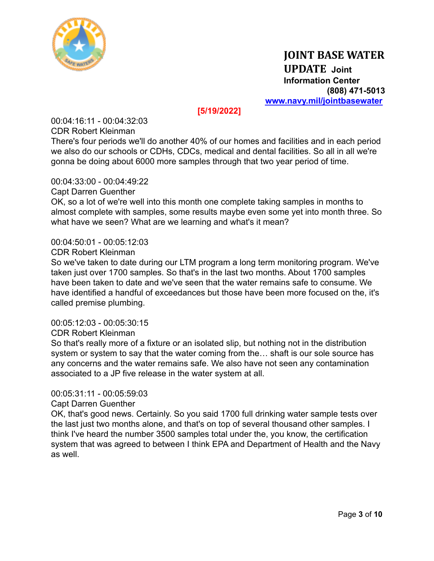

## **[5/19/2022]**

00:04:16:11 - 00:04:32:03 CDR Robert Kleinman

There's four periods we'll do another 40% of our homes and facilities and in each period we also do our schools or CDHs, CDCs, medical and dental facilities. So all in all we're gonna be doing about 6000 more samples through that two year period of time.

### 00:04:33:00 - 00:04:49:22

#### Capt Darren Guenther

OK, so a lot of we're well into this month one complete taking samples in months to almost complete with samples, some results maybe even some yet into month three. So what have we seen? What are we learning and what's it mean?

#### 00:04:50:01 - 00:05:12:03

#### CDR Robert Kleinman

So we've taken to date during our LTM program a long term monitoring program. We've taken just over 1700 samples. So that's in the last two months. About 1700 samples have been taken to date and we've seen that the water remains safe to consume. We have identified a handful of exceedances but those have been more focused on the, it's called premise plumbing.

#### 00:05:12:03 - 00:05:30:15

### CDR Robert Kleinman

So that's really more of a fixture or an isolated slip, but nothing not in the distribution system or system to say that the water coming from the… shaft is our sole source has any concerns and the water remains safe. We also have not seen any contamination associated to a JP five release in the water system at all.

### 00:05:31:11 - 00:05:59:03

#### Capt Darren Guenther

OK, that's good news. Certainly. So you said 1700 full drinking water sample tests over the last just two months alone, and that's on top of several thousand other samples. I think I've heard the number 3500 samples total under the, you know, the certification system that was agreed to between I think EPA and Department of Health and the Navy as well.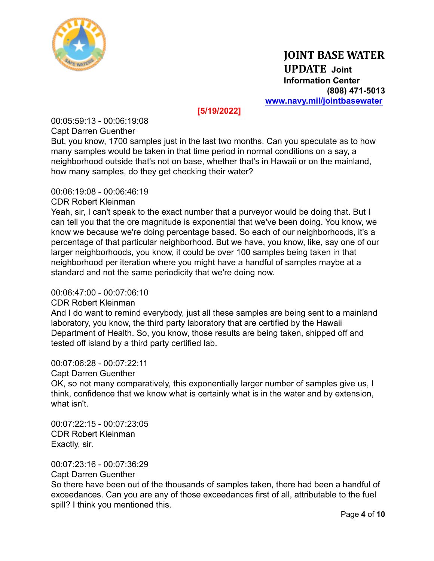

## **[5/19/2022]**

00:05:59:13 - 00:06:19:08

Capt Darren Guenther

But, you know, 1700 samples just in the last two months. Can you speculate as to how many samples would be taken in that time period in normal conditions on a say, a neighborhood outside that's not on base, whether that's in Hawaii or on the mainland, how many samples, do they get checking their water?

## 00:06:19:08 - 00:06:46:19

CDR Robert Kleinman

Yeah, sir, I can't speak to the exact number that a purveyor would be doing that. But I can tell you that the ore magnitude is exponential that we've been doing. You know, we know we because we're doing percentage based. So each of our neighborhoods, it's a percentage of that particular neighborhood. But we have, you know, like, say one of our larger neighborhoods, you know, it could be over 100 samples being taken in that neighborhood per iteration where you might have a handful of samples maybe at a standard and not the same periodicity that we're doing now.

## 00:06:47:00 - 00:07:06:10

## CDR Robert Kleinman

And I do want to remind everybody, just all these samples are being sent to a mainland laboratory, you know, the third party laboratory that are certified by the Hawaii Department of Health. So, you know, those results are being taken, shipped off and tested off island by a third party certified lab.

## 00:07:06:28 - 00:07:22:11

Capt Darren Guenther

OK, so not many comparatively, this exponentially larger number of samples give us, I think, confidence that we know what is certainly what is in the water and by extension, what isn't.

00:07:22:15 - 00:07:23:05 CDR Robert Kleinman Exactly, sir.

00:07:23:16 - 00:07:36:29

Capt Darren Guenther

So there have been out of the thousands of samples taken, there had been a handful of exceedances. Can you are any of those exceedances first of all, attributable to the fuel spill? I think you mentioned this.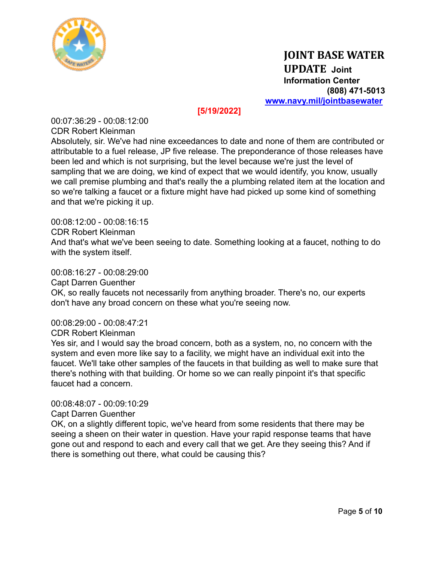

## **[5/19/2022]**

00:07:36:29 - 00:08:12:00 CDR Robert Kleinman

Absolutely, sir. We've had nine exceedances to date and none of them are contributed or attributable to a fuel release, JP five release. The preponderance of those releases have been led and which is not surprising, but the level because we're just the level of sampling that we are doing, we kind of expect that we would identify, you know, usually we call premise plumbing and that's really the a plumbing related item at the location and so we're talking a faucet or a fixture might have had picked up some kind of something and that we're picking it up.

00:08:12:00 - 00:08:16:15 CDR Robert Kleinman And that's what we've been seeing to date. Something looking at a faucet, nothing to do with the system itself.

00:08:16:27 - 00:08:29:00

Capt Darren Guenther

OK, so really faucets not necessarily from anything broader. There's no, our experts don't have any broad concern on these what you're seeing now.

00:08:29:00 - 00:08:47:21

CDR Robert Kleinman

Yes sir, and I would say the broad concern, both as a system, no, no concern with the system and even more like say to a facility, we might have an individual exit into the faucet. We'll take other samples of the faucets in that building as well to make sure that there's nothing with that building. Or home so we can really pinpoint it's that specific faucet had a concern.

00:08:48:07 - 00:09:10:29

Capt Darren Guenther

OK, on a slightly different topic, we've heard from some residents that there may be seeing a sheen on their water in question. Have your rapid response teams that have gone out and respond to each and every call that we get. Are they seeing this? And if there is something out there, what could be causing this?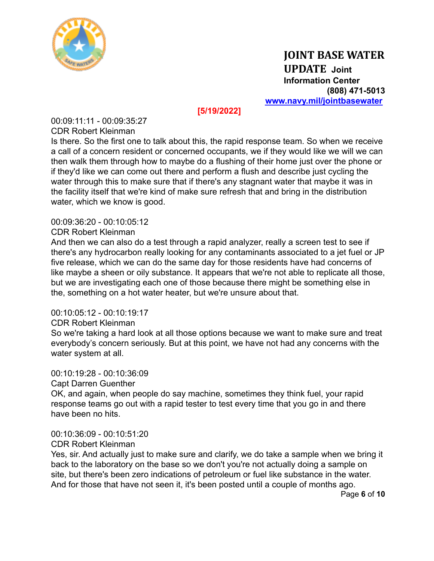

## **[5/19/2022]**

00:09:11:11 - 00:09:35:27 CDR Robert Kleinman

Is there. So the first one to talk about this, the rapid response team. So when we receive a call of a concern resident or concerned occupants, we if they would like we will we can then walk them through how to maybe do a flushing of their home just over the phone or if they'd like we can come out there and perform a flush and describe just cycling the water through this to make sure that if there's any stagnant water that maybe it was in the facility itself that we're kind of make sure refresh that and bring in the distribution water, which we know is good.

## 00:09:36:20 - 00:10:05:12

CDR Robert Kleinman

And then we can also do a test through a rapid analyzer, really a screen test to see if there's any hydrocarbon really looking for any contaminants associated to a jet fuel or JP five release, which we can do the same day for those residents have had concerns of like maybe a sheen or oily substance. It appears that we're not able to replicate all those, but we are investigating each one of those because there might be something else in the, something on a hot water heater, but we're unsure about that.

## 00:10:05:12 - 00:10:19:17

## CDR Robert Kleinman

So we're taking a hard look at all those options because we want to make sure and treat everybody's concern seriously. But at this point, we have not had any concerns with the water system at all.

## 00:10:19:28 - 00:10:36:09

Capt Darren Guenther

OK, and again, when people do say machine, sometimes they think fuel, your rapid response teams go out with a rapid tester to test every time that you go in and there have been no hits.

## 00:10:36:09 - 00:10:51:20

## CDR Robert Kleinman

Yes, sir. And actually just to make sure and clarify, we do take a sample when we bring it back to the laboratory on the base so we don't you're not actually doing a sample on site, but there's been zero indications of petroleum or fuel like substance in the water. And for those that have not seen it, it's been posted until a couple of months ago.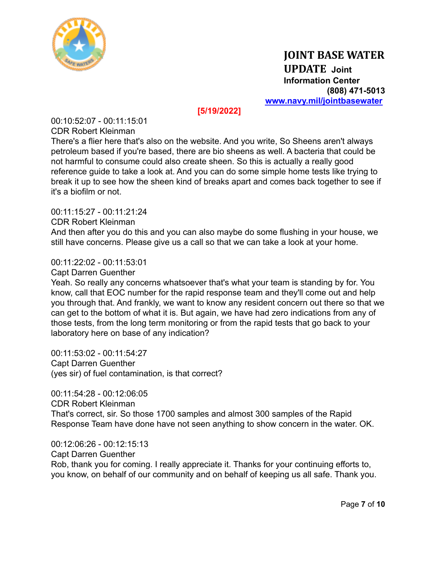

## **[5/19/2022]**

00:10:52:07 - 00:11:15:01 CDR Robert Kleinman

There's a flier here that's also on the website. And you write, So Sheens aren't always petroleum based if you're based, there are bio sheens as well. A bacteria that could be not harmful to consume could also create sheen. So this is actually a really good reference guide to take a look at. And you can do some simple home tests like trying to break it up to see how the sheen kind of breaks apart and comes back together to see if it's a biofilm or not.

00:11:15:27 - 00:11:21:24

CDR Robert Kleinman

And then after you do this and you can also maybe do some flushing in your house, we still have concerns. Please give us a call so that we can take a look at your home.

00:11:22:02 - 00:11:53:01

Capt Darren Guenther

Yeah. So really any concerns whatsoever that's what your team is standing by for. You know, call that EOC number for the rapid response team and they'll come out and help you through that. And frankly, we want to know any resident concern out there so that we can get to the bottom of what it is. But again, we have had zero indications from any of those tests, from the long term monitoring or from the rapid tests that go back to your laboratory here on base of any indication?

00:11:53:02 - 00:11:54:27 Capt Darren Guenther (yes sir) of fuel contamination, is that correct?

00:11:54:28 - 00:12:06:05 CDR Robert Kleinman That's correct, sir. So those 1700 samples and almost 300 samples of the Rapid Response Team have done have not seen anything to show concern in the water. OK.

00:12:06:26 - 00:12:15:13 Capt Darren Guenther Rob, thank you for coming. I really appreciate it. Thanks for your continuing efforts to, you know, on behalf of our community and on behalf of keeping us all safe. Thank you.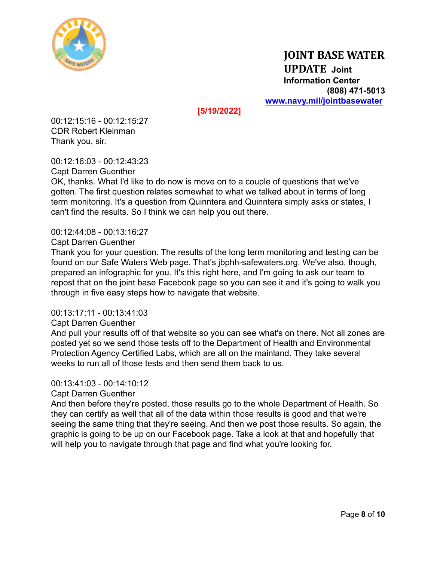

**[5/19/2022]**

00:12:15:16 - 00:12:15:27 CDR Robert Kleinman Thank you, sir.

00:12:16:03 - 00:12:43:23 Capt Darren Guenther

OK, thanks. What I'd like to do now is move on to a couple of questions that we've gotten. The first question relates somewhat to what we talked about in terms of long term monitoring. It's a question from Quinntera and Quinntera simply asks or states, I can't find the results. So I think we can help you out there.

## 00:12:44:08 - 00:13:16:27

Capt Darren Guenther

Thank you for your question. The results of the long term monitoring and testing can be found on our Safe Waters Web page. That's jbphh-safewaters.org. We've also, though, prepared an infographic for you. It's this right here, and I'm going to ask our team to repost that on the joint base Facebook page so you can see it and it's going to walk you through in five easy steps how to navigate that website.

## 00:13:17:11 - 00:13:41:03

#### Capt Darren Guenther

And pull your results off of that website so you can see what's on there. Not all zones are posted yet so we send those tests off to the Department of Health and Environmental Protection Agency Certified Labs, which are all on the mainland. They take several weeks to run all of those tests and then send them back to us.

## 00:13:41:03 - 00:14:10:12

Capt Darren Guenther

And then before they're posted, those results go to the whole Department of Health. So they can certify as well that all of the data within those results is good and that we're seeing the same thing that they're seeing. And then we post those results. So again, the graphic is going to be up on our Facebook page. Take a look at that and hopefully that will help you to navigate through that page and find what you're looking for.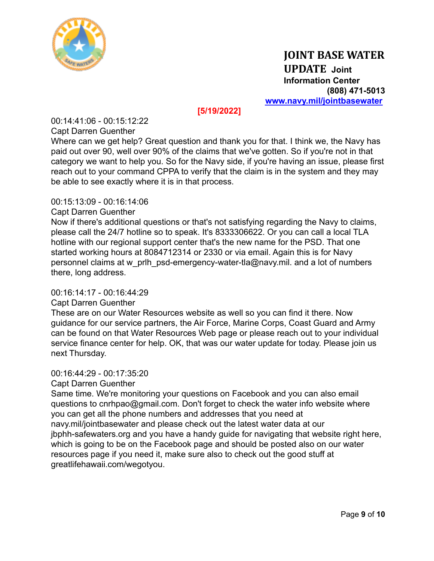

## **[5/19/2022]**

00:14:41:06 - 00:15:12:22

Capt Darren Guenther

Where can we get help? Great question and thank you for that. I think we, the Navy has paid out over 90, well over 90% of the claims that we've gotten. So if you're not in that category we want to help you. So for the Navy side, if you're having an issue, please first reach out to your command CPPA to verify that the claim is in the system and they may be able to see exactly where it is in that process.

#### 00:15:13:09 - 00:16:14:06

### Capt Darren Guenther

Now if there's additional questions or that's not satisfying regarding the Navy to claims, please call the 24/7 hotline so to speak. It's 8333306622. Or you can call a local TLA hotline with our regional support center that's the new name for the PSD. That one started working hours at 8084712314 or 2330 or via email. Again this is for Navy personnel claims at w\_prlh\_psd-emergency-water-tla@navy.mil. and a lot of numbers there, long address.

#### 00:16:14:17 - 00:16:44:29

## Capt Darren Guenther

These are on our Water Resources website as well so you can find it there. Now guidance for our service partners, the Air Force, Marine Corps, Coast Guard and Army can be found on that Water Resources Web page or please reach out to your individual service finance center for help. OK, that was our water update for today. Please join us next Thursday.

#### 00:16:44:29 - 00:17:35:20

## Capt Darren Guenther

Same time. We're monitoring your questions on Facebook and you can also email questions to cnrhpao@gmail.com. Don't forget to check the water info website where you can get all the phone numbers and addresses that you need at navy.mil/jointbasewater and please check out the latest water data at our jbphh-safewaters.org and you have a handy guide for navigating that website right here, which is going to be on the Facebook page and should be posted also on our water resources page if you need it, make sure also to check out the good stuff at greatlifehawaii.com/wegotyou.